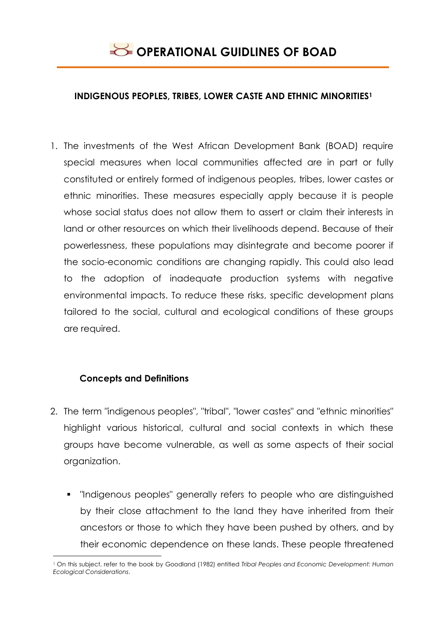

#### **INDIGENOUS PEOPLES, TRIBES, LOWER CASTE AND ETHNIC MINORITIES<sup>1</sup>**

1. The investments of the West African Development Bank (BOAD) require special measures when local communities affected are in part or fully constituted or entirely formed of indigenous peoples, tribes, lower castes or ethnic minorities. These measures especially apply because it is people whose social status does not allow them to assert or claim their interests in land or other resources on which their livelihoods depend. Because of their powerlessness, these populations may disintegrate and become poorer if the socio-economic conditions are changing rapidly. This could also lead to the adoption of inadequate production systems with negative environmental impacts. To reduce these risks, specific development plans tailored to the social, cultural and ecological conditions of these groups are required.

## **Concepts and Definitions**

- 2. The term "indigenous peoples", "tribal", "lower castes" and "ethnic minorities" highlight various historical, cultural and social contexts in which these groups have become vulnerable, as well as some aspects of their social organization.
	- **•** "Indigenous peoples" generally refers to people who are distinguished by their close attachment to the land they have inherited from their ancestors or those to which they have been pushed by others, and by their economic dependence on these lands. These people threatened

<sup>&</sup>lt;u>.</u> <sup>1</sup> On this subject, refer to the book by Goodland (1982) entitled *Tribal Peoples and Economic Development: Human Ecological Considerations*.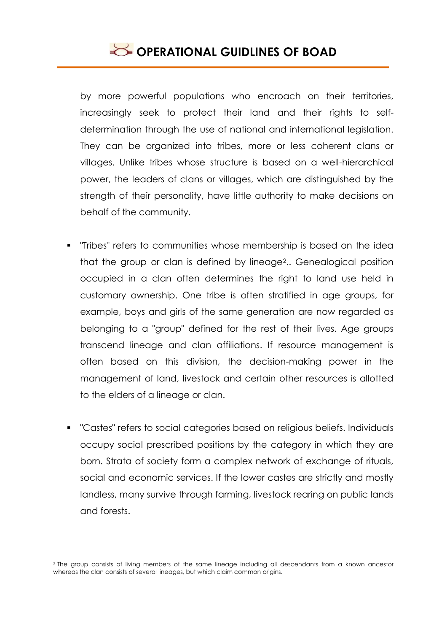

by more powerful populations who encroach on their territories, increasingly seek to protect their land and their rights to selfdetermination through the use of national and international legislation. They can be organized into tribes, more or less coherent clans or villages. Unlike tribes whose structure is based on a well-hierarchical power, the leaders of clans or villages, which are distinguished by the strength of their personality, have little authority to make decisions on behalf of the community.

- "Tribes" refers to communities whose membership is based on the idea that the group or clan is defined by lineage2.. Genealogical position occupied in a clan often determines the right to land use held in customary ownership. One tribe is often stratified in age groups, for example, boys and girls of the same generation are now regarded as belonging to a "group" defined for the rest of their lives. Age groups transcend lineage and clan affiliations. If resource management is often based on this division, the decision-making power in the management of land, livestock and certain other resources is allotted to the elders of a lineage or clan.
- "Castes" refers to social categories based on religious beliefs. Individuals occupy social prescribed positions by the category in which they are born. Strata of society form a complex network of exchange of rituals, social and economic services. If the lower castes are strictly and mostly landless, many survive through farming, livestock rearing on public lands and forests.

<u>.</u>

<sup>2</sup> The group consists of living members of the same lineage including all descendants from a known ancestor whereas the clan consists of several lineages, but which claim common origins.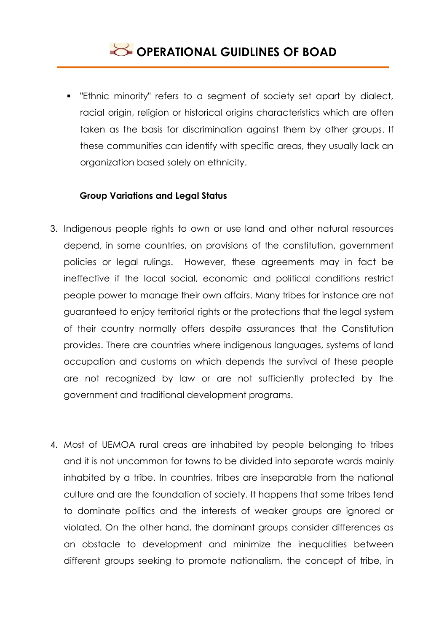

 "Ethnic minority" refers to a segment of society set apart by dialect, racial origin, religion or historical origins characteristics which are often taken as the basis for discrimination against them by other groups. If these communities can identify with specific areas, they usually lack an organization based solely on ethnicity.

## **Group Variations and Legal Status**

- 3. Indigenous people rights to own or use land and other natural resources depend, in some countries, on provisions of the constitution, government policies or legal rulings. However, these agreements may in fact be ineffective if the local social, economic and political conditions restrict people power to manage their own affairs. Many tribes for instance are not guaranteed to enjoy territorial rights or the protections that the legal system of their country normally offers despite assurances that the Constitution provides. There are countries where indigenous languages, systems of land occupation and customs on which depends the survival of these people are not recognized by law or are not sufficiently protected by the government and traditional development programs.
- 4. Most of UEMOA rural areas are inhabited by people belonging to tribes and it is not uncommon for towns to be divided into separate wards mainly inhabited by a tribe. In countries, tribes are inseparable from the national culture and are the foundation of society. It happens that some tribes tend to dominate politics and the interests of weaker groups are ignored or violated. On the other hand, the dominant groups consider differences as an obstacle to development and minimize the inequalities between different groups seeking to promote nationalism, the concept of tribe, in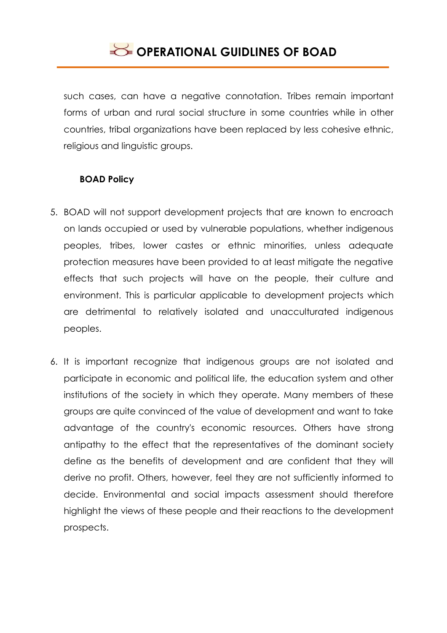

such cases, can have a negative connotation. Tribes remain important forms of urban and rural social structure in some countries while in other countries, tribal organizations have been replaced by less cohesive ethnic, religious and linguistic groups.

## **BOAD Policy**

- 5. BOAD will not support development projects that are known to encroach on lands occupied or used by vulnerable populations, whether indigenous peoples, tribes, lower castes or ethnic minorities, unless adequate protection measures have been provided to at least mitigate the negative effects that such projects will have on the people, their culture and environment. This is particular applicable to development projects which are detrimental to relatively isolated and unacculturated indigenous peoples.
- 6. It is important recognize that indigenous groups are not isolated and participate in economic and political life, the education system and other institutions of the society in which they operate. Many members of these groups are quite convinced of the value of development and want to take advantage of the country's economic resources. Others have strong antipathy to the effect that the representatives of the dominant society define as the benefits of development and are confident that they will derive no profit. Others, however, feel they are not sufficiently informed to decide. Environmental and social impacts assessment should therefore highlight the views of these people and their reactions to the development prospects.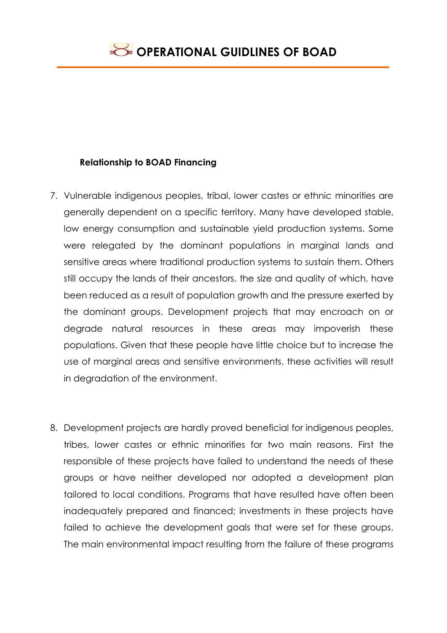## **Relationship to BOAD Financing**

- 7. Vulnerable indigenous peoples, tribal, lower castes or ethnic minorities are generally dependent on a specific territory. Many have developed stable, low energy consumption and sustainable yield production systems. Some were relegated by the dominant populations in marginal lands and sensitive areas where traditional production systems to sustain them. Others still occupy the lands of their ancestors, the size and quality of which, have been reduced as a result of population growth and the pressure exerted by the dominant groups. Development projects that may encroach on or degrade natural resources in these areas may impoverish these populations. Given that these people have little choice but to increase the use of marginal areas and sensitive environments, these activities will result in degradation of the environment.
- 8. Development projects are hardly proved beneficial for indigenous peoples, tribes, lower castes or ethnic minorities for two main reasons. First the responsible of these projects have failed to understand the needs of these groups or have neither developed nor adopted a development plan tailored to local conditions. Programs that have resulted have often been inadequately prepared and financed; investments in these projects have failed to achieve the development goals that were set for these groups. The main environmental impact resulting from the failure of these programs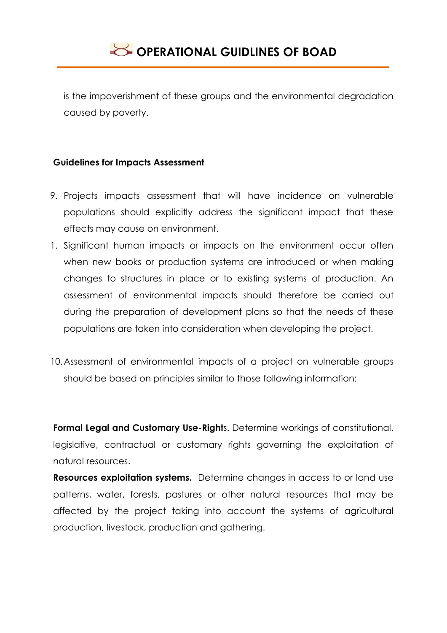

is the impoverishment of these groups and the environmental degradation caused by poverty.

#### **Guidelines for Impacts Assessment**

- 9. Projects impacts assessment that will have incidence on vulnerable populations should explicitly address the significant impact that these effects may cause on environment.
- 1. Significant human impacts or impacts on the environment occur often when new books or production systems are introduced or when making changes to structures in place or to existing systems of production. An assessment of environmental impacts should therefore be carried out during the preparation of development plans so that the needs of these populations are taken into consideration when developing the project.
- 10.Assessment of environmental impacts of a project on vulnerable groups should be based on principles similar to those following information:

**Formal Legal and Customary Use-Right**s. Determine workings of constitutional, legislative, contractual or customary rights governing the exploitation of natural resources.

**Resources exploitation systems.** Determine changes in access to or land use patterns, water, forests, pastures or other natural resources that may be affected by the project taking into account the systems of agricultural production, livestock, production and gathering.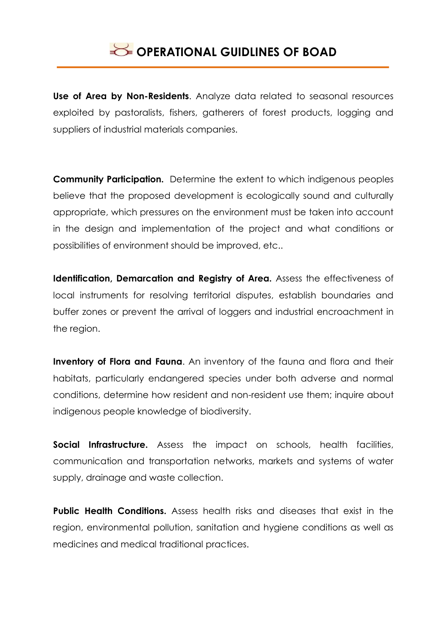

**Use of Area by Non-Residents**. Analyze data related to seasonal resources exploited by pastoralists, fishers, gatherers of forest products, logging and suppliers of industrial materials companies.

**Community Participation.** Determine the extent to which indigenous peoples believe that the proposed development is ecologically sound and culturally appropriate, which pressures on the environment must be taken into account in the design and implementation of the project and what conditions or possibilities of environment should be improved, etc..

**Identification, Demarcation and Registry of Area.** Assess the effectiveness of local instruments for resolving territorial disputes, establish boundaries and buffer zones or prevent the arrival of loggers and industrial encroachment in the region.

**Inventory of Flora and Fauna**. An inventory of the fauna and flora and their habitats, particularly endangered species under both adverse and normal conditions, determine how resident and non-resident use them; inquire about indigenous people knowledge of biodiversity.

**Social Infrastructure.** Assess the impact on schools, health facilities, communication and transportation networks, markets and systems of water supply, drainage and waste collection.

**Public Health Conditions.** Assess health risks and diseases that exist in the region, environmental pollution, sanitation and hygiene conditions as well as medicines and medical traditional practices.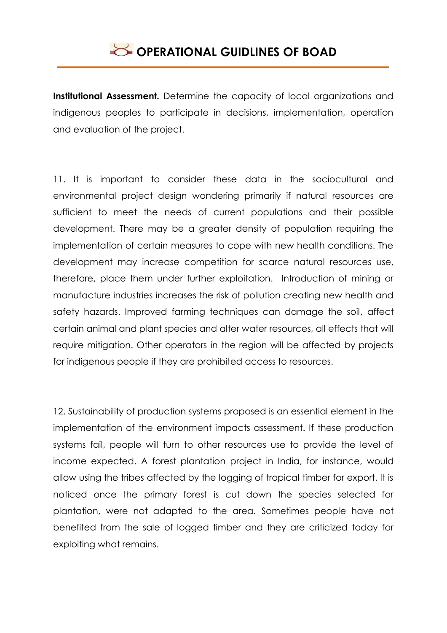

**Institutional Assessment.** Determine the capacity of local organizations and indigenous peoples to participate in decisions, implementation, operation and evaluation of the project.

11. It is important to consider these data in the sociocultural and environmental project design wondering primarily if natural resources are sufficient to meet the needs of current populations and their possible development. There may be a greater density of population requiring the implementation of certain measures to cope with new health conditions. The development may increase competition for scarce natural resources use, therefore, place them under further exploitation. Introduction of mining or manufacture industries increases the risk of pollution creating new health and safety hazards. Improved farming techniques can damage the soil, affect certain animal and plant species and alter water resources, all effects that will require mitigation. Other operators in the region will be affected by projects for indigenous people if they are prohibited access to resources.

12. Sustainability of production systems proposed is an essential element in the implementation of the environment impacts assessment. If these production systems fail, people will turn to other resources use to provide the level of income expected. A forest plantation project in India, for instance, would allow using the tribes affected by the logging of tropical timber for export. It is noticed once the primary forest is cut down the species selected for plantation, were not adapted to the area. Sometimes people have not benefited from the sale of logged timber and they are criticized today for exploiting what remains.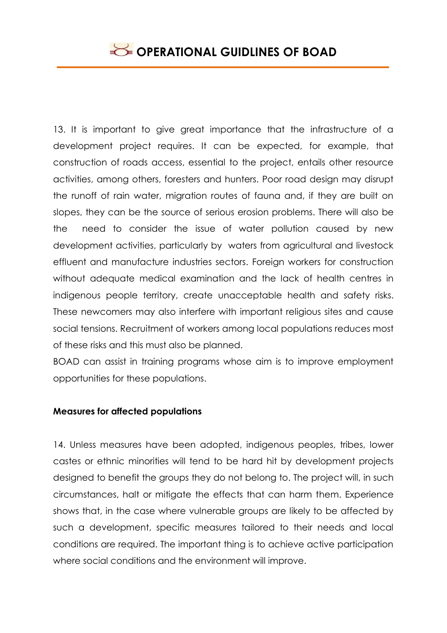13. It is important to give great importance that the infrastructure of a development project requires. It can be expected, for example, that construction of roads access, essential to the project, entails other resource activities, among others, foresters and hunters. Poor road design may disrupt the runoff of rain water, migration routes of fauna and, if they are built on slopes, they can be the source of serious erosion problems. There will also be the need to consider the issue of water pollution caused by new development activities, particularly by waters from agricultural and livestock effluent and manufacture industries sectors. Foreign workers for construction without adequate medical examination and the lack of health centres in indigenous people territory, create unacceptable health and safety risks. These newcomers may also interfere with important religious sites and cause social tensions. Recruitment of workers among local populations reduces most of these risks and this must also be planned.

BOAD can assist in training programs whose aim is to improve employment opportunities for these populations.

## **Measures for affected populations**

14. Unless measures have been adopted, indigenous peoples, tribes, lower castes or ethnic minorities will tend to be hard hit by development projects designed to benefit the groups they do not belong to. The project will, in such circumstances, halt or mitigate the effects that can harm them. Experience shows that, in the case where vulnerable groups are likely to be affected by such a development, specific measures tailored to their needs and local conditions are required. The important thing is to achieve active participation where social conditions and the environment will improve.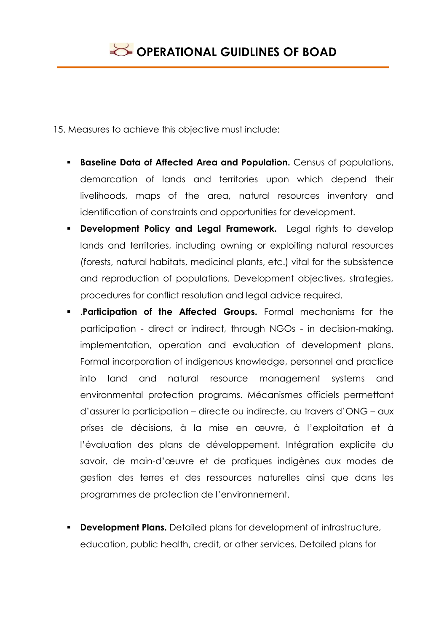15. Measures to achieve this objective must include:

- **Baseline Data of Affected Area and Population.** Census of populations, demarcation of lands and territories upon which depend their livelihoods, maps of the area, natural resources inventory and identification of constraints and opportunities for development.
- **Development Policy and Legal Framework.** Legal rights to develop lands and territories, including owning or exploiting natural resources (forests, natural habitats, medicinal plants, etc.) vital for the subsistence and reproduction of populations. Development objectives, strategies, procedures for conflict resolution and legal advice required.
- .**Participation of the Affected Groups.** Formal mechanisms for the participation - direct or indirect, through NGOs - in decision-making, implementation, operation and evaluation of development plans. Formal incorporation of indigenous knowledge, personnel and practice into land and natural resource management systems and environmental protection programs. Mécanismes officiels permettant d'assurer la participation – directe ou indirecte, au travers d'ONG – aux prises de décisions, à la mise en œuvre, à l'exploitation et à l'évaluation des plans de développement. Intégration explicite du savoir, de main-d'œuvre et de pratiques indigènes aux modes de gestion des terres et des ressources naturelles ainsi que dans les programmes de protection de l'environnement.
- **Development Plans.** Detailed plans for development of infrastructure, education, public health, credit, or other services. Detailed plans for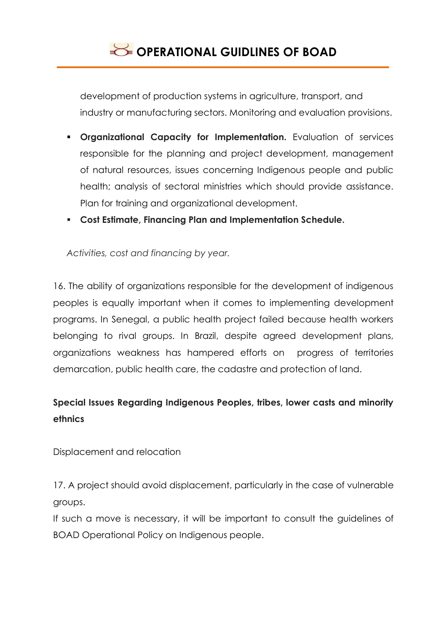

development of production systems in agriculture, transport, and industry or manufacturing sectors. Monitoring and evaluation provisions.

- **Organizational Capacity for Implementation.** Evaluation of services responsible for the planning and project development, management of natural resources, issues concerning Indigenous people and public health; analysis of sectoral ministries which should provide assistance. Plan for training and organizational development.
- **Cost Estimate, Financing Plan and Implementation Schedule.**

*Activities, cost and financing by year.*

16. The ability of organizations responsible for the development of indigenous peoples is equally important when it comes to implementing development programs. In Senegal, a public health project failed because health workers belonging to rival groups. In Brazil, despite agreed development plans, organizations weakness has hampered efforts on progress of territories demarcation, public health care, the cadastre and protection of land.

# **Special Issues Regarding Indigenous Peoples, tribes, lower casts and minority ethnics**

Displacement and relocation

17. A project should avoid displacement, particularly in the case of vulnerable groups.

If such a move is necessary, it will be important to consult the guidelines of BOAD Operational Policy on Indigenous people.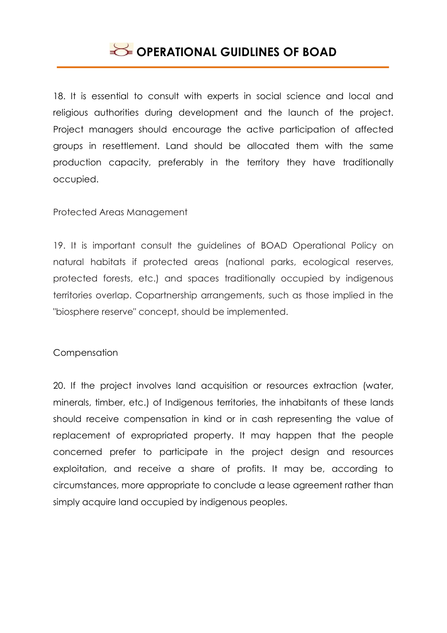

18. It is essential to consult with experts in social science and local and religious authorities during development and the launch of the project. Project managers should encourage the active participation of affected groups in resettlement. Land should be allocated them with the same production capacity, preferably in the territory they have traditionally occupied.

Protected Areas Management

19. It is important consult the guidelines of BOAD Operational Policy on natural habitats if protected areas (national parks, ecological reserves, protected forests, etc.) and spaces traditionally occupied by indigenous territories overlap. Copartnership arrangements, such as those implied in the "biosphere reserve" concept, should be implemented.

## Compensation

20. If the project involves land acquisition or resources extraction (water, minerals, timber, etc.) of Indigenous territories, the inhabitants of these lands should receive compensation in kind or in cash representing the value of replacement of expropriated property. It may happen that the people concerned prefer to participate in the project design and resources exploitation, and receive a share of profits. It may be, according to circumstances, more appropriate to conclude a lease agreement rather than simply acquire land occupied by indigenous peoples.